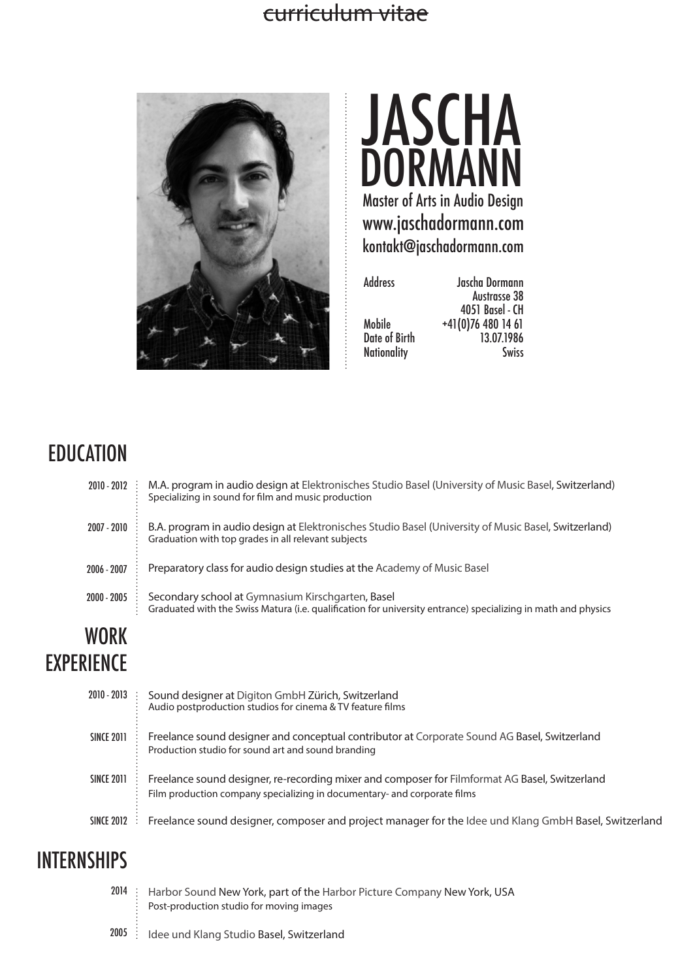## curriculum vitae





| Jascha Dormann    |
|-------------------|
| Austrasse 38      |
| 4051 Basel - CH   |
| $+41(0)764801461$ |
| 13.07.1986        |
| <b>Swiss</b>      |
|                   |

# **EDUCATION**

| WORK<br><b>EXPERIENCE</b> |                                                                                                                                                                    |
|---------------------------|--------------------------------------------------------------------------------------------------------------------------------------------------------------------|
| 2000 - 2005               | Secondary school at Gymnasium Kirschgarten, Basel<br>Graduated with the Swiss Matura (i.e. qualification for university entrance) specializing in math and physics |
| 2006 - 2007               | Preparatory class for audio design studies at the Academy of Music Basel                                                                                           |
| 2007 - 2010               | B.A. program in audio design at Elektronisches Studio Basel (University of Music Basel, Switzerland)<br>Graduation with top grades in all relevant subjects        |
| 2010 - 2012               | M.A. program in audio design at Elektronisches Studio Basel (University of Music Basel, Switzerland)<br>Specializing in sound for film and music production        |

| LINLINCL          |                                                                                                                                                                            |
|-------------------|----------------------------------------------------------------------------------------------------------------------------------------------------------------------------|
| $2010 - 2013$     | Sound designer at Digiton GmbH Zürich, Switzerland<br>Audio postproduction studios for cinema & TV feature films                                                           |
| <b>SINCE 2011</b> | Freelance sound designer and conceptual contributor at Corporate Sound AG Basel, Switzerland<br>Production studio for sound art and sound branding                         |
| <b>SINCE 2011</b> | Freelance sound designer, re-recording mixer and composer for Filmformat AG Basel, Switzerland<br>Film production company specializing in documentary- and corporate films |
| SINCE 2012        | Freelance sound designer, composer and project manager for the Idee und Klang GmbH Basel, Switzerland                                                                      |
|                   |                                                                                                                                                                            |

# **INTERNSHIPS**

|  | 2014 : Harbor Sound New York, part of the Harbor Picture Company New York, USA<br>: Post-production studio for moving images |
|--|------------------------------------------------------------------------------------------------------------------------------|
|  | 2005 : Idee und Klang Studio Basel, Switzerland                                                                              |